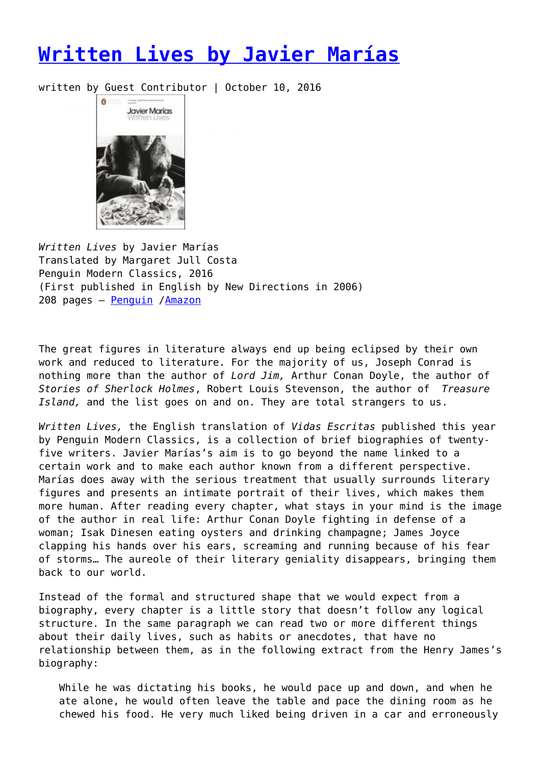## **[Written Lives by Javier Marías](https://entropymag.org/written-lives-by-javier-marias/)**

written by Guest Contributor | October 10, 2016



*Written Lives* by Javier Marías Translated by Margaret Jull Costa Penguin Modern Classics, 2016 (First published in English by New Directions in 2006) 208 pages – [Penguin](https://www.penguin.co.uk/books/183916/written-lives/) /[Amazon](https://www.amazon.com/dp/B00AN2C22Y/ref=dp-kindle-redirect?_encoding=UTF8&btkr=1)

The great figures in literature always end up being eclipsed by their own work and reduced to literature. For the majority of us, Joseph Conrad is nothing more than the author of *Lord Jim,* Arthur Conan Doyle, the author of *Stories of Sherlock Holmes*, Robert Louis Stevenson, the author of *Treasure Island,* and the list goes on and on. They are total strangers to us.

*Written Lives,* the English translation of *Vidas Escritas* published this year by Penguin Modern Classics, is a collection of brief biographies of twentyfive writers. Javier Marías's aim is to go beyond the name linked to a certain work and to make each author known from a different perspective. Marías does away with the serious treatment that usually surrounds literary figures and presents an intimate portrait of their lives, which makes them more human. After reading every chapter, what stays in your mind is the image of the author in real life: Arthur Conan Doyle fighting in defense of a woman; Isak Dinesen eating oysters and drinking champagne; James Joyce clapping his hands over his ears, screaming and running because of his fear of storms… The aureole of their literary geniality disappears, bringing them back to our world.

Instead of the formal and structured shape that we would expect from a biography, every chapter is a little story that doesn't follow any logical structure. In the same paragraph we can read two or more different things about their daily lives, such as habits or anecdotes, that have no relationship between them, as in the following extract from the Henry James's biography:

While he was dictating his books, he would pace up and down, and when he ate alone, he would often leave the table and pace the dining room as he chewed his food. He very much liked being driven in a car and erroneously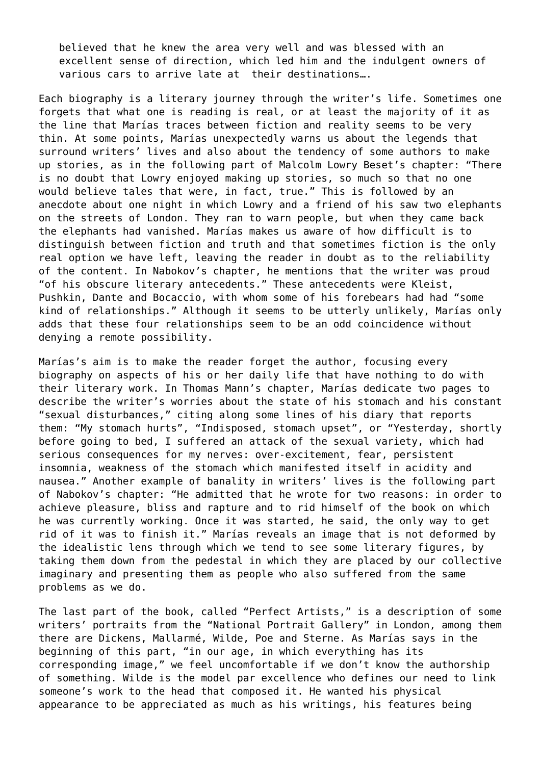believed that he knew the area very well and was blessed with an excellent sense of direction, which led him and the indulgent owners of various cars to arrive late at their destinations….

Each biography is a literary journey through the writer's life. Sometimes one forgets that what one is reading is real, or at least the majority of it as the line that Marías traces between fiction and reality seems to be very thin. At some points, Marías unexpectedly warns us about the legends that surround writers' lives and also about the tendency of some authors to make up stories, as in the following part of Malcolm Lowry Beset's chapter: "There is no doubt that Lowry enjoyed making up stories, so much so that no one would believe tales that were, in fact, true." This is followed by an anecdote about one night in which Lowry and a friend of his saw two elephants on the streets of London. They ran to warn people, but when they came back the elephants had vanished. Marías makes us aware of how difficult is to distinguish between fiction and truth and that sometimes fiction is the only real option we have left, leaving the reader in doubt as to the reliability of the content. In Nabokov's chapter, he mentions that the writer was proud "of his obscure literary antecedents." These antecedents were Kleist, Pushkin, Dante and Bocaccio, with whom some of his forebears had had "some kind of relationships." Although it seems to be utterly unlikely, Marías only adds that these four relationships seem to be an odd coincidence without denying a remote possibility.

Marías's aim is to make the reader forget the author, focusing every biography on aspects of his or her daily life that have nothing to do with their literary work. In Thomas Mann's chapter, Marías dedicate two pages to describe the writer's worries about the state of his stomach and his constant "sexual disturbances," citing along some lines of his diary that reports them: "My stomach hurts", "Indisposed, stomach upset", or "Yesterday, shortly before going to bed, I suffered an attack of the sexual variety, which had serious consequences for my nerves: over-excitement, fear, persistent insomnia, weakness of the stomach which manifested itself in acidity and nausea." Another example of banality in writers' lives is the following part of Nabokov's chapter: "He admitted that he wrote for two reasons: in order to achieve pleasure, bliss and rapture and to rid himself of the book on which he was currently working. Once it was started, he said, the only way to get rid of it was to finish it." Marías reveals an image that is not deformed by the idealistic lens through which we tend to see some literary figures, by taking them down from the pedestal in which they are placed by our collective imaginary and presenting them as people who also suffered from the same problems as we do.

The last part of the book, called "Perfect Artists," is a description of some writers' portraits from the "National Portrait Gallery" in London, among them there are Dickens, Mallarmé, Wilde, Poe and Sterne. As Marías says in the beginning of this part, "in our age, in which everything has its corresponding image," we feel uncomfortable if we don't know the authorship of something. Wilde is the model par excellence who defines our need to link someone's work to the head that composed it. He wanted his physical appearance to be appreciated as much as his writings, his features being